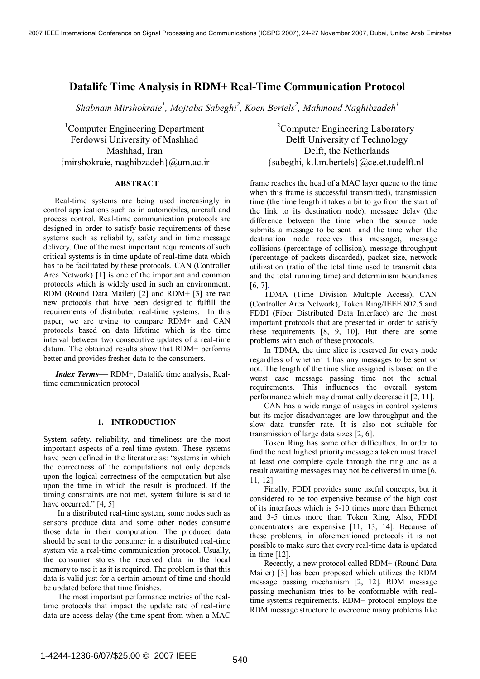# **Datalife Time Analysis in RDM+ Real-Time Communication Protocol**

 $Shabn$ am Mirshokraie<sup>1</sup>, Mojtaba Sabeghi<sup>2</sup>, Koen Bertels<sup>2</sup>, Mahmoud Naghibzadeh<sup>1</sup>

1 Computer Engineering Department Ferdowsi University of Mashhad Mashhad, Iran {mirshokraie, naghibzadeh}@um.ac.ir

### **ABSTRACT**

Real-time systems are being used increasingly in control applications such as in automobiles, aircraft and process control. Real-time communication protocols are designed in order to satisfy basic requirements of these systems such as reliability, safety and in time message delivery. One of the most important requirements of such critical systems is in time update of real-time data which has to be facilitated by these protocols. CAN (Controller Area Network) [1] is one of the important and common protocols which is widely used in such an environment. RDM (Round Data Mailer) [2] and RDM+ [3] are two new protocols that have been designed to fulfill the requirements of distributed real-time systems. In this paper, we are trying to compare RDM+ and CAN protocols based on data lifetime which is the time interval between two consecutive updates of a real-time datum. The obtained results show that RDM+ performs better and provides fresher data to the consumers.

*Index Terms***—** RDM+, Datalife time analysis, Realtime communication protocol

### **1. INTRODUCTION**

System safety, reliability, and timeliness are the most important aspects of a real-time system. These systems have been defined in the literature as: "systems in which the correctness of the computations not only depends upon the logical correctness of the computation but also upon the time in which the result is produced. If the timing constraints are not met, system failure is said to have occurred." [4, 5]

In a distributed real-time system, some nodes such as sensors produce data and some other nodes consume those data in their computation. The produced data should be sent to the consumer in a distributed real-time system via a real-time communication protocol. Usually, the consumer stores the received data in the local memory to use it as it is required. The problem is that this data is valid just for a certain amount of time and should be updated before that time finishes.

The most important performance metrics of the realtime protocols that impact the update rate of real-time data are access delay (the time spent from when a MAC

<sup>2</sup>Computer Engineering Laboratory Delft University of Technology Delft, the Netherlands {sabeghi, k.l.m.bertels}@ce.et.tudelft.nl

frame reaches the head of a MAC layer queue to the time when this frame is successful transmitted), transmission time (the time length it takes a bit to go from the start of the link to its destination node), message delay (the difference between the time when the source node submits a message to be sent and the time when the destination node receives this message), message collisions (percentage of collision), message throughput (percentage of packets discarded), packet size, network utilization (ratio of the total time used to transmit data and the total running time) and determinism boundaries [6, 7].

TDMA (Time Division Multiple Access), CAN (Controller Area Network), Token Ring/IEEE 802.5 and FDDI (Fiber Distributed Data Interface) are the most important protocols that are presented in order to satisfy these requirements [8, 9, 10]. But there are some problems with each of these protocols.

In TDMA, the time slice is reserved for every node regardless of whether it has any messages to be sent or not. The length of the time slice assigned is based on the worst case message passing time not the actual requirements. This influences the overall system performance which may dramatically decrease it [2, 11].

CAN has a wide range of usages in control systems but its major disadvantages are low throughput and the slow data transfer rate. It is also not suitable for transmission of large data sizes [2, 6].

Token Ring has some other difficulties. In order to find the next highest priority message a token must travel at least one complete cycle through the ring and as a result awaiting messages may not be delivered in time [6, 11, 12].

Finally, FDDI provides some useful concepts, but it considered to be too expensive because of the high cost of its interfaces which is 5-10 times more than Ethernet and 3-5 times more than Token Ring. Also, FDDI concentrators are expensive [11, 13, 14]. Because of these problems, in aforementioned protocols it is not possible to make sure that every real-time data is updated in time [12].

Recently, a new protocol called RDM+ (Round Data Mailer) [3] has been proposed which utilizes the RDM message passing mechanism [2, 12]. RDM message passing mechanism tries to be conformable with realtime systems requirements. RDM+ protocol employs the RDM message structure to overcome many problems like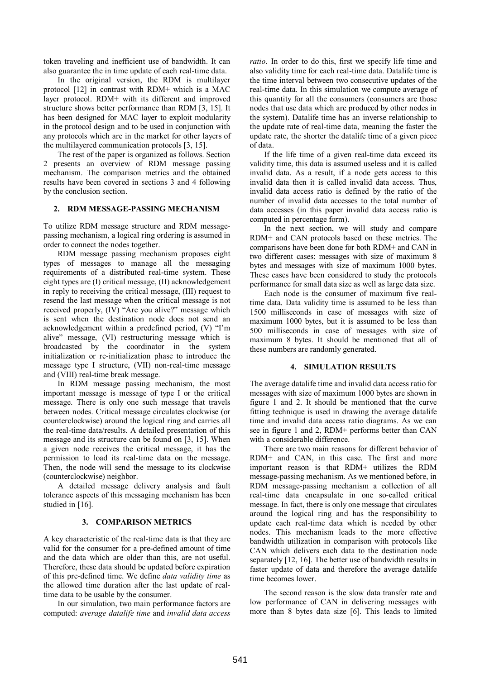token traveling and inefficient use of bandwidth. It can also guarantee the in time update of each real-time data.

In the original version, the RDM is multilayer protocol [12] in contrast with RDM+ which is a MAC layer protocol. RDM+ with its different and improved structure shows better performance than RDM [3, 15]. It has been designed for MAC layer to exploit modularity in the protocol design and to be used in conjunction with any protocols which are in the market for other layers of the multilayered communication protocols [3, 15].

The rest of the paper is organized as follows. Section 2 presents an overview of RDM message passing mechanism. The comparison metrics and the obtained results have been covered in sections 3 and 4 following by the conclusion section.

## **2. RDM MESSAGE-PASSING MECHANISM**

To utilize RDM message structure and RDM messagepassing mechanism, a logical ring ordering is assumed in order to connect the nodes together.

RDM message passing mechanism proposes eight types of messages to manage all the messaging requirements of a distributed real-time system. These eight types are (I) critical message, (II) acknowledgement in reply to receiving the critical message, (III) request to resend the last message when the critical message is not received properly, (IV) "Are you alive?" message which is sent when the destination node does not send an acknowledgement within a predefined period, (V) "I'm alive" message, (VI) restructuring message which is broadcasted by the coordinator in the system initialization or re-initialization phase to introduce the message type I structure, (VII) non-real-time message and (VIII) real-time break message.

In RDM message passing mechanism, the most important message is message of type I or the critical message. There is only one such message that travels between nodes. Critical message circulates clockwise (or counterclockwise) around the logical ring and carries all the real-time data/results. A detailed presentation of this message and its structure can be found on [3, 15]. When a given node receives the critical message, it has the permission to load its real-time data on the message. Then, the node will send the message to its clockwise (counterclockwise) neighbor.

A detailed message delivery analysis and fault tolerance aspects of this messaging mechanism has been studied in [16].

## **3. COMPARISON METRICS**

A key characteristic of the real-time data is that they are valid for the consumer for a pre-defined amount of time and the data which are older than this, are not useful. Therefore, these data should be updated before expiration of this pre-defined time. We define *data validity time* as the allowed time duration after the last update of realtime data to be usable by the consumer.

In our simulation, two main performance factors are computed: *average datalife time* and *invalid data access*  *ratio*. In order to do this, first we specify life time and also validity time for each real-time data. Datalife time is the time interval between two consecutive updates of the real-time data. In this simulation we compute average of this quantity for all the consumers (consumers are those nodes that use data which are produced by other nodes in the system). Datalife time has an inverse relationship to the update rate of real-time data, meaning the faster the update rate, the shorter the datalife time of a given piece of data.

If the life time of a given real-time data exceed its validity time, this data is assumed useless and it is called invalid data. As a result, if a node gets access to this invalid data then it is called invalid data access. Thus, invalid data access ratio is defined by the ratio of the number of invalid data accesses to the total number of data accesses (in this paper invalid data access ratio is computed in percentage form).

In the next section, we will study and compare RDM+ and CAN protocols based on these metrics. The comparisons have been done for both RDM+ and CAN in two different cases: messages with size of maximum 8 bytes and messages with size of maximum 1000 bytes. These cases have been considered to study the protocols performance for small data size as well as large data size.

Each node is the consumer of maximum five realtime data. Data validity time is assumed to be less than 1500 milliseconds in case of messages with size of maximum 1000 bytes, but it is assumed to be less than 500 milliseconds in case of messages with size of maximum 8 bytes. It should be mentioned that all of these numbers are randomly generated.

## **4. SIMULATION RESULTS**

The average datalife time and invalid data access ratio for messages with size of maximum 1000 bytes are shown in figure 1 and 2. It should be mentioned that the curve fitting technique is used in drawing the average datalife time and invalid data access ratio diagrams. As we can see in figure 1 and 2, RDM+ performs better than CAN with a considerable difference.

There are two main reasons for different behavior of RDM+ and CAN, in this case. The first and more important reason is that RDM+ utilizes the RDM message-passing mechanism. As we mentioned before, in RDM message-passing mechanism a collection of all real-time data encapsulate in one so-called critical message. In fact, there is only one message that circulates around the logical ring and has the responsibility to update each real-time data which is needed by other nodes. This mechanism leads to the more effective bandwidth utilization in comparison with protocols like CAN which delivers each data to the destination node separately [12, 16]. The better use of bandwidth results in faster update of data and therefore the average datalife time becomes lower.

The second reason is the slow data transfer rate and low performance of CAN in delivering messages with more than 8 bytes data size [6]. This leads to limited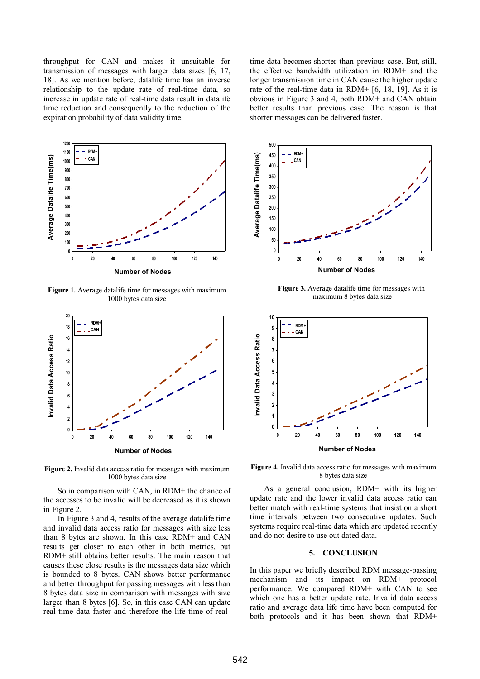throughput for CAN and makes it unsuitable for transmission of messages with larger data sizes [6, 17, 18]. As we mention before, datalife time has an inverse relationship to the update rate of real-time data, so increase in update rate of real-time data result in datalife time reduction and consequently to the reduction of the expiration probability of data validity time.



**Figure 1.** Average datalife time for messages with maximum 1000 bytes data size



**Figure 2.** Invalid data access ratio for messages with maximum 1000 bytes data size

So in comparison with CAN, in RDM+ the chance of the accesses to be invalid will be decreased as it is shown in Figure 2.

In Figure 3 and 4, results of the average datalife time and invalid data access ratio for messages with size less than 8 bytes are shown. In this case RDM+ and CAN results get closer to each other in both metrics, but RDM+ still obtains better results. The main reason that causes these close results is the messages data size which is bounded to 8 bytes. CAN shows better performance and better throughput for passing messages with less than 8 bytes data size in comparison with messages with size larger than 8 bytes [6]. So, in this case CAN can update real-time data faster and therefore the life time of realtime data becomes shorter than previous case. But, still, the effective bandwidth utilization in RDM+ and the longer transmission time in CAN cause the higher update rate of the real-time data in RDM+ [6, 18, 19]. As it is obvious in Figure 3 and 4, both RDM+ and CAN obtain better results than previous case. The reason is that shorter messages can be delivered faster.



 **Figure 3.** Average datalife time for messages with maximum 8 bytes data size



**Figure 4.** Invalid data access ratio for messages with maximum 8 bytes data size

As a general conclusion, RDM+ with its higher update rate and the lower invalid data access ratio can better match with real-time systems that insist on a short time intervals between two consecutive updates. Such systems require real-time data which are updated recently and do not desire to use out dated data.

### **5. CONCLUSION**

In this paper we briefly described RDM message-passing mechanism and its impact on RDM+ protocol performance. We compared RDM+ with CAN to see which one has a better update rate. Invalid data access ratio and average data life time have been computed for both protocols and it has been shown that RDM+